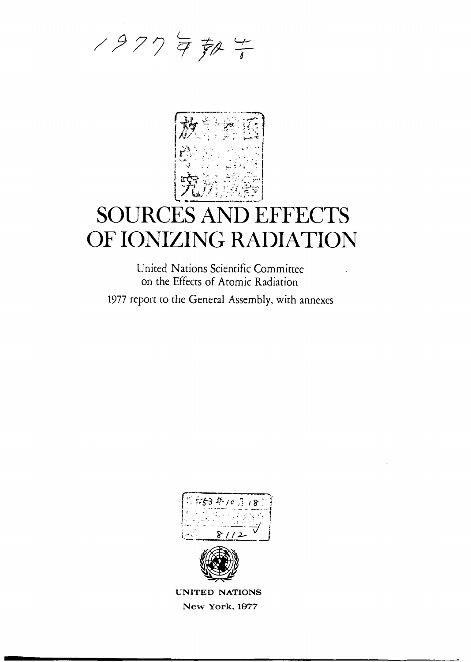



# **SOURCES AND EFFECTS** OF IONIZING RADIATION

United Nations Scientific Committee on the Effects of Atomic Radiation

1977 report to the General Assembly, with annexes



UNITED NATIONS New York, 1977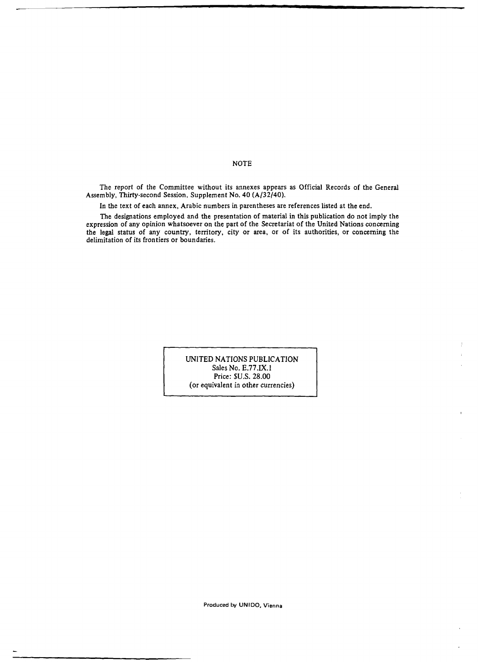NOTE

The report of the Committee without its annexes appears as Official Records of the General Assembly, Thirty-second Session, Supplement No. 40 (A/32/40).

In the text of each annex, Arabic numbers in parentheses are references listed at the end.

The designations employed and the presentation of material in this publication do not imply the expression of any opinion whatsoever on the part of the Secretariat of the United Nations concerning the legal status of any country, territory, city or area, or of its authorities, or concerning the delimitation of its frontiers or boundaries.

> UNITED NATIONS PUBLICATION Sales No. E.77.IX.1 Price: \$U.S. 28.00 (or equivalent in other currencies)

> > Produced by UNIDO, Vienna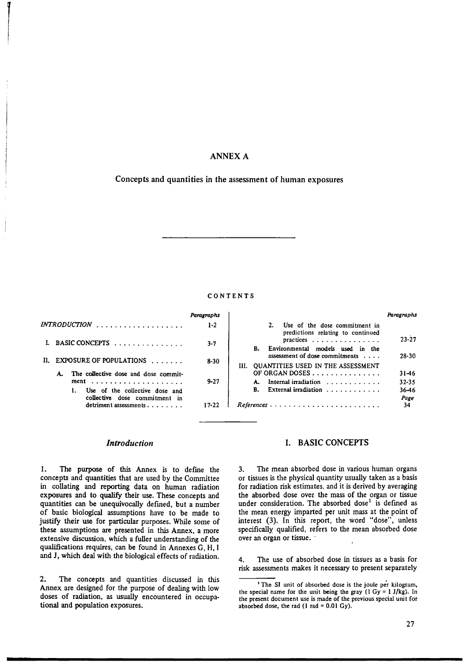## ANNEX A

## Concepts and quantities in the assessment of human exposures

#### CONTENTS

|                                                                 | Paragraphs |                                                                          | Paragraphs |
|-----------------------------------------------------------------|------------|--------------------------------------------------------------------------|------------|
| $INTRODUCTION$                                                  | $1 - 2$    | Use of the dose commitment in<br>predictions relating to continued       |            |
|                                                                 | $3 - 7$    | practices<br>Environmental models used in the                            | $23 - 27$  |
| II. EXPOSURE OF POPULATIONS                                     | 8-30       | assessment of dose commitments<br>III. QUANTITIES USED IN THE ASSESSMENT | $28 - 30$  |
| The collective dose and dose commit-<br>A.                      |            | OF ORGAN DOSES                                                           | 31-46      |
|                                                                 | $9 - 27$   | Internal irradiation $\ldots$ ,                                          | $32 - 35$  |
| Use of the collective dose and<br>collective dose commitment in |            | B. External irradiation                                                  | 36-46      |
|                                                                 |            |                                                                          | Page       |
| detriment assessments $\ldots$ ,                                | $17 - 22$  |                                                                          | 34         |

## *Introduction*

1. The purpose of this Annex is to define the concepts and quantities that are used by the Committee in collating and reporting data on human radiation exposures and to qualify their use. These concepts and quantities can be unequivocally defined, but a number of basic biological assumptions have to be made to justify their use for particular purposes. While some of these assumptions are presented in this Annex, a more extensive discussion, which a fuller understanding of the qualifications requires, can be found in Annexes G, H, I and J, which deal with the biological effects of radiation.

2. The concepts and quantities discussed in this Annex are designed for the purpose of dealing with low doses of radiation, as usually encountered in occupational and population exposures.

## I. BASIC CONCEPTS

3. The mean absorbed dose in various human organs or tissues is the physical quantity usually taken as a basis for radiation risk estimates, and it is derived by averaging the absorbed dose over the mass of the organ or tissue under consideration. The absorbed dose<sup>1</sup> is defined as the mean energy imparted per unit mass at the point of interest (3). In this report, the word "dose", unless specifically qualified, refers to the mean absorbed dose over an organ or tissue. ·

4. The use of absorbed dose in tissues as a basis for risk assessments makes it necessary to present separately

<sup>&</sup>lt;sup>1</sup> The SI unit of absorbed dose is the joule per kilogram, the special name for the unit being the gray  $(1 \text{ Gy} = 1 \text{ J/kg})$ . In the present document use is made of the previous special unit for absorbed dose, the rad  $(1 rad = 0.01 Gy)$ .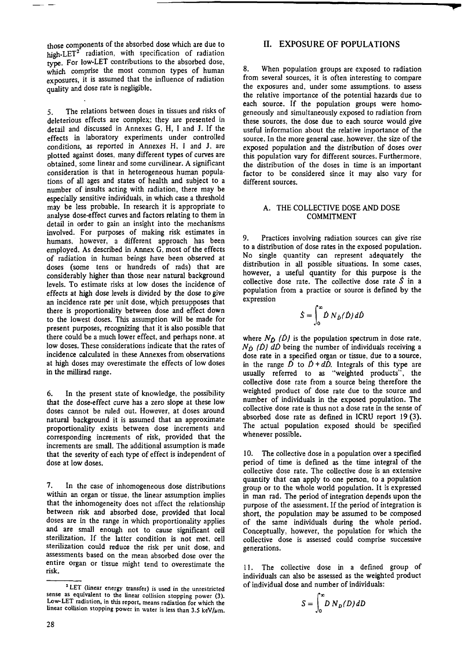those components of the absorbed dose which are due to high-LET<sup>2</sup> radiation, with specification of radiation type. For low-LET contributions to the absorbed dose, which comprise the most common types of human exposures, it is assumed that the influence of radiation quality and dose rate is negligible.

5. The relations between doses in tissues and risks of deleterious effects are complex; they are presented in detail and discussed in Annexes G, H, I and **J.** If the effects in laboratory experiments under controlled conditions, as reported in Annexes H, I and J, are plotted against doses, many different types of curves are obtained, some linear and some curvilinear. A significant consideration is that in heterogeneous human populations of all ages and states of health and subject to a number of insults acting with radiation, there may be especially sensitive individuals, in which case a threshold may be less probable. In research it is appropriate to analyse dose-effect curves and factors relating to them in detail in order to gain an insight into the mechanisms involved. For purposes of making risk estimates in humans, however, a different approach has been employed. As described in Annex G, most of the effects of radiation in human beings have been observed at doses (some tens or hundreds of rads) that are considerably higher than those near natural background levels. To estimate risks at low doses the incidence of effects at high dose levels is divided by the dose to give an incidence rate per unit dose, which presupposes that there is proportionality between dose and effect down to the lowest doses. This assumption will be made for present purposes, recognizing that it is also possible that there could be a much lower effect, and perhaps none, at low doses. These considerations indicate that the rates of incidence calculated in these Annexes from observations at high doses may overestimate the effects of low doses in the millirad range.

6. In the present state of knowledge, the possibility that the dose-effect curve has a zero slope at these low doses cannot be ruled out. However, at doses around natural background it is assumed that an approximate proportionality exists between dose increments and corresponding increments of risk, provided that the increments are small. The additional assumption is made that the severity of each type of effect is independent of dose at low doses.

7. In the case of inhomogeneous dose distributions within an organ or tissue, the linear assumption implies that the inhomogeneity does not affect the relationship between risk and absorbed dose, provided that local doses are in the range in which proportionality applies and are small enough not to cause significant cell sterilization. If the latter condition is not met, cell sterilization could reduce the risk per unit dose, and assessments based on the mean absorbed dose over the entire organ or tissue might tend to overestimate the risk.

### **II. EXPOSURE OF POPULATIONS**

8. When population groups are exposed to radiation from several sources, it is often interesting to compare the exposures and, under some assumptions. to assess the relative importance of the potential hazards due to each source. If the population groups were homogeneously and simultaneously exposed to radiation from these sources, the dose due to each source would give useful information about the relative importance of the source. In the more general case. however, the size of the exposed popuJation and the distribution of doses over this population vary for different sources. Furthermore, the distribution of the doses in time is an important factor to be considered since it may also vary for different sources.

#### A. THE COLLECTIVE DOSE AND DOSE COMMITMENT

9. Practices involving radiation sources can give rise to a distribution of dose rates in the exposed population. No single quantity can represent adequately the distribution in all possible situations. In some cases, however, a useful quantity for this purpose is the collective dose rate. The collective dose rate  $\hat{S}$  in a population from a practice or source is defined by the expression

$$
\dot{S} = \int_0^\infty \dot{D} \, N_{\dot{D}}(\dot{D}) \, d\dot{D}
$$

where  $N_D$  ( $\dot{D}$ ) is the population spectrum in dose rate,  $N_{\dot{D}}$  (D)  $d\dot{D}$  being the number of individuals receiving a dose rate in a specified organ or tissue, due to a source, in the range  $\dot{D}$  to  $\dot{D} + d\dot{D}$ . Integrals of this type are usually referred to as "weighted products", the collective dose rate from a source being therefore the weighted product of dose rate due to the source and number of individuals in the exposed population. The collective dose rate is thus not a dose rate in the sense of absorbed dose rate as defined in ICRU report 19 (3). The actual population exposed should be specified whenever possible.

10. The collective dose in a population over a specified period of time is defined as the time integral of the collective dose rate. The collective dose is an extensive quantity that can apply to one person, to a population group or to the whole world population. It is expressed in man rad. The period of integration depends upon the purpose of the assessment. If the period of integration is short, the population may be assumed to be composed of the same individuals during the whole period. Conceptually, however, the population for which the collective dose is assessed could comprise successive generations.

11. The collective dose in a defined group of individuals can also be assessed as the weighted product of individual dose and number of individuals:

$$
S = \int_0^\infty D\,N_D(D)\,dD
$$

<sup>&</sup>lt;sup>2</sup> LET (linear energy transfer) is used in the unrestricted sense as equivalent to the linear collision stopping power (3). Low-LET radiation, in this report, means radiation for which the linear collision stopping power in water is less than 3.5 keV/ $\mu$ m.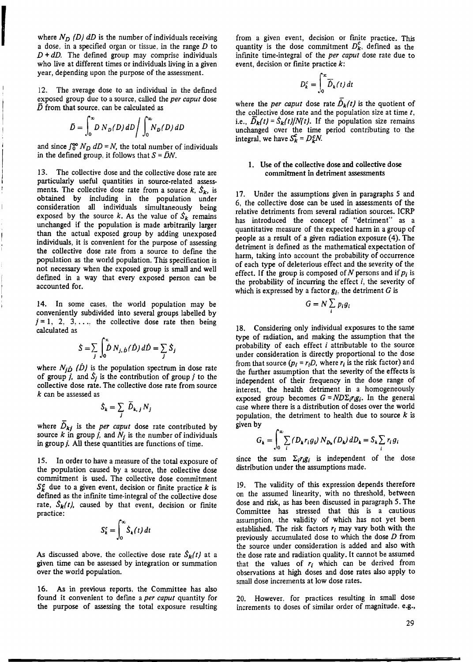where  $N_D$  (D) dD is the number of individuals receiving a dose, in a specified organ or tissue, in the range  $D$  to  $D + dD$ . The defined group may comprise individuals who live at different times or individuals living in a given year, depending upon the purpose of the assessment.

12. The average dose to an individual in the defined exposed group due to a source, called the *per caput* dose  $\bar{D}$  from that source, can be calculated as

$$
\bar{D} = \int_0^\infty D \, N_D(D) \, dD \bigg/ \int_0^\infty N_D(D) \, dD
$$

and since  $\int_0^\infty N_D \, dD = N$ , the total number of individuals in the defined group, it follows that  $S = \overline{D}N$ .

13. The collective dose and the collective dose rate are particularly useful quantities in source-related assessments. The collective dose rate from a source  $k$ ,  $\dot{S}_k$ , is obtained by including in the population under consideration all individuals simultaneously being exposed by the source k. As the value of  $S_k$  remains unchanged if the population is made arbitrarily larger than the actual exposed group by adding unexposed individuals, it is convenient for the purpose of assessing the collective dose rate from a source to define the population as the world population. This specification is not necessary when the exposed group is small and well defmed in a way that every exposed person can be accounted for.

14. In some cases, the world population may be conveniently subdivided into several groups labelled by  $j = 1, 2, 3, \ldots$ , the collective dose rate then being calculated as

$$
\dot{S} = \sum_{j} \int_{0}^{\infty} \dot{D} N_{j, \dot{D}}(\dot{D}) d\dot{D} = \sum_{j} \dot{S}_{j}
$$

where  $N_{j}$  (D) is the population spectrum in dose rate of group *j*, and  $\dot{S}_i$  is the contribution of group *j* to the collective dose rate. The collective dose rate from source *k* can be assessed as

$$
\dot{S}_k = \sum_j \overline{\dot{D}}_{k,j} N_j
$$

where  $D_{kj}$  is the *per caput* dose rate contributed by source  $k$  in group *j*, and  $N_i$  is the number of individuals in group *j*. All these quantities are functions of time.

15. In order to have a measure of the total exposure of the population caused by a source, the collective dose commitment is used. The collective dose commitment  $S_{k}^{c}$  due to a given event, decision or finite practice  $k$  is defined as the infmite time-integral of the collective dose rate,  $S_k(t)$ , caused by that event, decision or finite practice:

$$
S_k^c = \int_0^\infty \dot{S}_k(t) \, dt
$$

As discussed above, the collective dose rate  $S_k(t)$  at a given time can be assessed by integration or summation over the world population.

16. As in previous reports. the Committee has also found it convenient to define a *per caput* quantity for the purpose of assessing the total exposure resulting

from a given event, decision or fmite practice. This quantity is the dose commitment  $D_{k}^{c}$ , defined as the infmite time-integral of the *per caput* dose rate due to event, decision or finite practice  $k$ :

$$
D_k^c = \int_0^\infty \overline{D}_k(t) \, dt
$$

where the *per caput* dose rate  $\dot{D}_k(t)$  is the quotient of the collective dose rate and the population size at time *t,*  i.e.,  $D_k(t) = S_k(t)/N(t)$ . If the population size remains unchanged over the time period contributing to the integral, we have  $S_k^c = D_k^cN$ .

#### I. Use of the collective dose and collective dose commitment in detriment assessments

17. Under the assumptions given in paragraphs 5 and 6, the collective dose can be used in assessments of the relative detriments from several radiation sources. ICRP has introduced the concept of "detriment" as a quantitative measure of the expected harm in a group of people as a result of a given radiation exposure  $(4)$ . The detriment is defmed as the mathematical expectation of harm, taking into account the probability of occurrence of each type of deleterious effect and the severity of the effect. If the group is composed of *N* persons and if *Pi* is the probability of incurring the effect  $i$ , the severity of which is expressed by a factor  $g_i$ , the detriment  $G$  is

$$
G=N\sum_i p_i g_i
$$

18. Considering only individual exposures to the same type of radiation, and making the assumption that the probability of each effect  $i$  attributable to the source under consideration is directly proportional to the dose from that source  $(p_i = r_i D)$ , where  $r_i$  is the risk factor) and the further assumption that the severity of the effects is independent of their frequency in the dose range of interest, the health detriment in a homogeneously exposed group becomes  $G = N D \Sigma_i r_i g_i$ . In the general case where there is a distribution of doses over the world population, the detriment to health due to source  $k$  is given by

$$
G_{k} = \int_{0}^{\infty} \sum_{i} \left( D_{k} r_{i} g_{i} \right) N_{D_{k}} \left( D_{k} \right) dD_{k} = S_{k} \sum_{i} r_{i} g_{i}
$$

since the sum  $\Sigma_i r_i g_i$  is independent of the dose distribution under the assumptions made.

19. The validity of this expression depends therefore on the assumed linearity, with no threshold, between dose and risk, as has been discussed in paragraph 5. The Committee has stressed that this is a cautious assumption, the validity of which has not yet been established. The risk factors *ri* may vary both with the previously accumulated dose to which the dose *D* from the source under consideration is added and also with the dose rate and radiation quality. It cannot be assumed that the values of  $r_i$  which can be derived from observations at high doses and dose rates also apply to small dose increments at low dose rates.

20. However. for practices resulting in small dose increments to doses of similar order of magnitude, e.g.,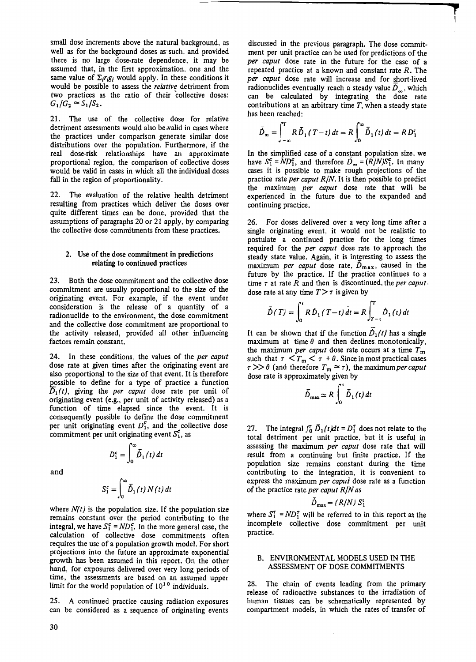small dose increments above the natural background, as well as for the background doses as such, and provided there is no large dose-rate dependence, it may be assumed that, in the first approximation. one and the same value of  $\Sigma_i$ r<sub>i</sub>g<sub>i</sub> would apply. In these conditions it would be possible to assess the *relative* detriment from two practices as the ratio of their collective doses:  $G_1/G_2 \simeq S_1/S_2$ .

21. The use of the collective dose for relative detriment assessments would also be.valid in cases where the practices under comparison generate similar dose distributions over the population. Furthermore, if the real dose-risk relationships have an approximate proportional region, the comparison of collective doses would be valid in cases in which all the individual doses fall in the region of proportionality.

22. The evaluation of the relative health detriment resulting from practices which deliver the doses over quite different times can be done, provided that the assumptions of paragraphs 20 or 21 apply, by comparing the collective dose commitments from these practices.

#### 2. Use of the dose commitment in predictions relating to continued practices

23. Both the dose commitment and the collective dose commitment are usually proportional to the size of the originating event. For example, if the event under consideration is the release of a quantity of a radionuclide to the environment, the dose commitment and the collective dose commitment are proportional to the activity released, provided all other influencing factors remain constant.

24. In these conditions, the values of the *per caput*  dose rate at given times after the originating event are also proportional to the size of that event. It is therefore possible to define for a type of practice a function  $\overline{D}_1(t)$ , giving the *per caput* dose rate per unit of originating event (e.g., per unit of activity released) as a function of time elapsed since the event. It is consequently possible to define the dose commitment per unit originating event  $D_1^c$ , and the collective dose commitment per unit originating event  $S_1^c$ , as

and

$$
S_1^c = \int_0^\infty \bar{D}_1(t) N(t) dt
$$

 $D_1^c = \int_0^\infty \overline{\tilde{D}}_1(t) dt$ 

where  $N(t)$  is the population size. If the population size remains constant over the period contributing to the integral, we have  $S_1^c = ND_1^c$ . In the more general case, the calculation of collective dose commitments often requires the *use* of a population growth model. For short projections into the future an approximate exponential growth has been assumed in this report. On the other hand, for exposures delivered over very long periods of time, the assessments are based on an assumed upper limit for the world population of  $10^{10}$  individuals.

25. A continued practice causing radiation exposures can be considered as a sequence of originating events

discussed in the previous paragraph. The dose commitment per unit practice can be used for predictions of the *per caput* dose rate in the future for the case of a repeated practice at a known and constant rate *R.* The per caput dose rate will increase and for short-lived radionuclides eventually reach a steady value  $\dot{D}_{\infty}$ , which can be calculated by integrating the dose rate contributions at an arbitrary time  $T$ , when a steady state has been reached:

$$
\bar{D}_{\infty} = \int_{-\infty}^{T} R \, \bar{D}_1 \left( T - t \right) dt = R \int_{0}^{\infty} \bar{D}_1 \left( t \right) dt = R \, D_1^c
$$

In the simplified case of a constant population size, we have  $S_1^c = \overline{ND_1^c}$ , and therefore  $\overline{D}_{\infty} = (\overline{R}/N)S_1^c$ . In many cases it is possible to m\_ake rough projections of the practice rate *per caput R/N.* It is then possible to predict the maximum *per caput* dose rate that will be experienced in the future due to the expanded and continuing practice.

26. For doses delivered over a very long time after a single originating event, it would not be realistic to postulate a continued practice for the long times required for the *per caput* dose rate to approach the steady state value. Again, it is interesting to assess the maximum *per caput* dose rate,  $\dot{D}_{\text{max}}$ , caused in the future by the practice. If the practice continues to a time *T* at rate R and then is discontinued, the *per caput.*  dose rate at any time  $T > \tau$  is given by

$$
\bar{D}(T) = \int_0^{\tau} R \, \dot{D}_1(T - t) \, dt = R \int_{T - \tau}^{T} \dot{D}_1(t) \, dt
$$

It can be shown that if the function  $\overline{D}_1(t)$  has a single maximum at time  $\theta$  and then declines monotonically, the maximum *per caput* dose rate occurs at a time  $T_m$ such that  $\tau < T_m < \tau + \theta$ . Since in most practical cases  $\tau >> \theta$  (and therefore  $T_m \approx \tau$ ), the maximum *per caput* dose rate is approximately given by

$$
\bar{D}_{\max} \simeq R \int_0^{\tau} \bar{D}_1(t) dt
$$

27. The integral  $\int_0^{\tau} \tilde{D}_1(t) dt = D_1^{\tau}$  does not relate to the total detriment per unit practice. but it is useful in assessing the maximum *per caput* dose rate that will result from a continuing but finite practice. If the population size remains constant during the time contributing to the integration, it is convenient to express the maximum *per capui* dose rate as a function of the practice rate *per caput R/N as* 

$$
\bar{D}_{\max} = (R/N) S_1^{\rm t}
$$

where  $S_1^{\tau}$  =  $ND_1^{\tau}$  will be referred to in this report as the incomplete collective dose commitment per unit practice.

#### B. ENVIRONMENT AL MODELS USED IN THE ASSESSMENT OF DOSE COMMITMENTS

28. The chain of events leading from the primary release of radioactive substances to the irradiation of human tissues can be schematically represented by compartment models, in which the rates of transfer of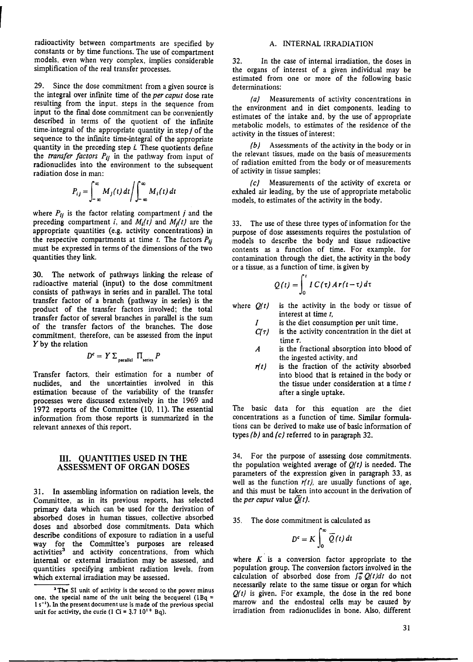radioactivity between compartments are specified by constants or by time functions. The use of compartment models, even when very complex, implies considerable simplification of the real transfer processes.

29. Since the dose commitment from a given source is the integral over infinite time of the *per caput* dose rate resulting from the input, steps in the sequence from input to the final dose commitment can be conveniently described in terms of the quotient of the infinite time-integral of the appropriate quantity in step  $j$  of the sequence to the infinite time-integral of the appropriate quantity in the preceding step *i.* These quotients define the *transfer factors Pij* in the pathway from input of radionuclides into the environment to the subsequent radiation dose in man:

$$
P_{ij} = \int_{-\infty}^{\infty} M_j(t) dt / \int_{-\infty}^{\infty} M_i(t) dt
$$

where  $P_{ij}$  is the factor relating compartment j and the preceding compartment *i*, and  $M_i(t)$  and  $M_i(t)$  are the appropriate quantities (e.g. activity concentrations) in the respective compartments at time  $t$ . The factors  $P_{ij}$ must be expressed in terms of the dimensions of the two quantities they link.

30. The network of pathways linking the release of radioactive material (input) to the dose commitment consists of pathways in series and in parallel. The total transfer factor of a branch (pathway in series) is the product of the transfer factors involved; the total transfer factor of several branches in parallel is the sum of the transfer factors of the branches. The dose commitment, therefore, can be assessed from the input Y by the relation

$$
D^c = Y \sum_{\text{parallel}} \Pi_{\text{series}} P
$$

Transfer factors, their estimation for a number of nuclides, and the uncertainties involved in this estimation because of the variability of the transfer processes were discussed extensively in the 1969 and 1972 reports of the Committee (10, 11). The essential information from those reports is summarized in the relevant annexes of this report.

## ill. **QUANTITIES USED** IN **THE ASSESSMENT OF ORGAN DOSES**

31. In assembling information on radiation levels, the Committee, as in its previous reports, has selected primary data which can be used for the derivation of absorbed doses in human tissues, collective absorbed doses and absorbed dose commitments. Data which describe conditions of exposure to radiation in a useful way for the Committee's purposes are released activities<sup>3</sup> and activity concentrations, from which internal or external irradiation may be assessed, and quantities specifying ambient radiation levels, from which external irradiation may be assessed.

#### A. INTERNAL IRRADIATION

32. In the case of internal irradiation, the doses in the organs of interest of a given individual may be estimated from one or more of the following basic determinations:

(a) Measurements of activity concentrations in the environment and in diet components, leading to estimates of the intake and, by the use of appropriate metabolic models, to estimates of the residence of the activity in the tissues of interest;

(b) Assessments of the activity in the body or in the relevant tissues, made on the basis of measurements of radiation emitted from the body or of measurements of activity in tissue samples;

(c) Measurements of the activity of excreta or exhaled air leading, by the use of appropriate metabolic models, to estimates of the activity in the body.

33. The use of these three types of information for the purpose of dose assessments requires the postulation of models to describe the body and tissue radioactive contents as a function of time. For example, for contamination through the diet, the activity in the body

or a tissue, as a function of time, is given by  
\n
$$
Q(t) = \int_0^t IC(\tau) \, dr(t-\tau) \, d\tau
$$

where *Q(t)*  is the activity in the body or tissue of interest at time *t,* 

> *I*  is the diet consumption per unit time,

- *C(T)*  is the activity concentration in the diet at time T.
- A is the fractional absorption into blood of the ingested activity, and
- $r(t)$ is the fraction of the activity absorbed into blood that is retained in the body or the tissue under consideration at a time *t*  after a single uptake.

The basic data for this equation are the diet concentrations as a function of time. Similar formulations can be derived to make use of basic information of types (b) and *(c)* referred to in paragraph 32.

34. For the purpose of assessing dose commitments. the population weighted average of *Q(t)* is needed. The parameters of the expression given in paragraph 33, as well as the function  $r(t)$ , are usually functions of age, and this must be taken into account in the derivation of the *per caput* value  $\overline{Q}(t)$ .

35. The dose commitment is calculated as

$$
D^c = K \int_0^\infty \overline{Q}(t) dt
$$

where  $K$  is a conversion factor appropriate to the population group. The conversion factors involved in the calculation of absorbed dose from  $\int_0^{\infty} Q(t) dt$  do not necessarily relate to the same tissue or organ for which *Q(t)* is given. For example, the dose in the red bone marrow and the endosteal cells may be caused by irradiation from radionuclides in bone. Also, different

<sup>&</sup>lt;sup>3</sup>The SI unit of activity is the second to the power minus one, the special name of the unit being the becquerel  $(1Bq =$ 1 s<sup>-1</sup>). In the present document use is made of the previous special unit for activity, the curie (1 Ci =  $3.7 10^{10}$  Bq).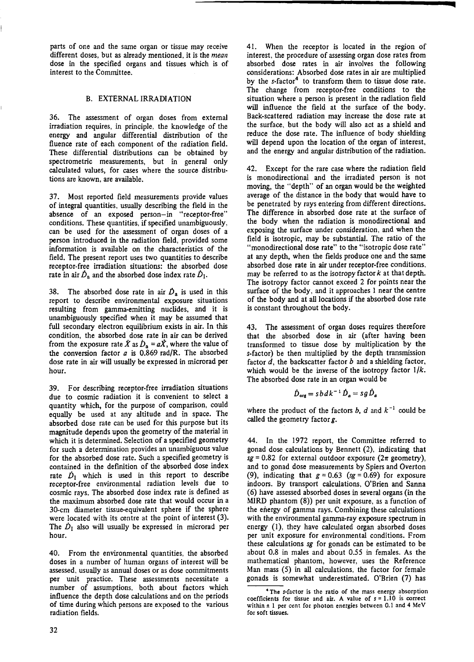parts of one and the same organ or tissue may receive different doses, but as already mentioned, it is the *mean*  dose in the specified organs and tissues which is of interest to the Committee.

## B. EXTERNAL IRRADIATION

36. The assessment of organ doses from external irradiation requires, in principle, the knowledge of the energy and angular differential distribution of the fluence rate of each component of the radiation field. These differential distributions can be obtained by spectrometric measurements, but in general only calculated values, for cases where the source distributions are known, are available.

37. Most reported field measurements provide values of integral quantities, usually describing the field in the absence of an exposed person-in "receptor-free" conditions. These quantities, if specified unambiguously, can be used for the assessment of organ doses of a person introduced in the radiation field, provided some information is available on the characteristics of the field. The present report uses two quantities to describe receptor-free irradiation situations: the absorbed dose rate in air  $\dot{D}_a$  and the absorbed dose index rate  $\dot{D}_1$ .

38. The absorbed dose rate in air  $\dot{D}_a$  is used in this report to describe environmental exposure situations resulting from gamma-emitting nuclides, and it is unambiguously specified when it may be assumed that full secondary electron equilibrium exists in air. In this condition, the absorbed dose rate in air can be derived from the exposure rate  $\dot{X}$  as  $\dot{D}_a = a\dot{X}$ , where the value of the conversion factor *a* is 0.869 rad/R. The absorbed dose rate in air will usually be expressed in microrad per hour.

39. For describing receptor-free irradiation situations due to cosmic radiation it is convenient to select a quantity which, for the purpose of comparison, could equally be used at any altitude and in space. The absorbed dose rate can be used for this purpose but its magnitude depends upon the geometry of the material in which it is determined. Selection of a specified geometry for such a determination provides an unambiguous value for the absorbed dose rate. Such a specified geometry is contained in the definition of the absorbed dose **index**  rate  $\dot{D}_1$  which is used in this report to describe receptor-free environmental radiation levels due to cosmic rays. The absorbed dose index rate is defined as the maximum absorbed dose rate that would occur in a 30-cm diameter tissue-equivalent sphere if the sphere were located with its centre at the point of interest (3). The  $\dot{D}_1$  also will usually be expressed in microrad per hour.

40. From the environmental quantities, the absorbed doses in a number of human organs of interest will be assessed, usually as annual doses or as dose commitments **per** unit practice. These assessments necessitate a number of assumptions, both about factors which influence the depth dose calculations and on the periods of time during which persons are exposed to the various radiation fields.

41. When the receptor is located in the region of interest, the procedure of assessing organ dose rates from absorbed dose rates in air involves the following considerations: Absorbed dose rates in air are multiplied by the  $s$ -factor<sup>4</sup> to transform them to tissue dose rate. The change from receptor-free conditions to the situation where a person is present in the radiation field will influence the field at the surface of the body. Back-scattered radiation may increase the dose rate at the surface, but the body will also act as a shield and reduce the dose rate. The influence of body shielding will depend upon the location of the organ of interest, and the energy and angular distribution of the radiation.

42. Except for the rare case where the radiation field is monodirectional and the irradiated person is not moving, the "depth" of an organ would be the weighted average of the distance in the body that would have to be penetrated by rays entering from different directions. The difference in absorbed dose rate at the surface of the body when the radiation is monodirectional and exposing the surface under consideration, and when the field is isotropic, may be substantial. The ratio of the "monodirectional dose rate" to the "isotropic dose rate" at any depth, when the fields produce one and the same absorbed dose rate in air under receptor-free conditions, may be referred to as the isotropy factor  $k$  at that depth. The isotropy factor cannot exceed 2 for points near the surface of the body, and it approaches 1 near the centre of the body and at all locations if the absorbed dose rate is constant throughout the body.

43. The assessment of organ doses requires therefore that the absorbed dose in air (after having been transformed to tissue dose by multiplication by the s-factor) be then multiplied by the depth transmission factor  $d$ , the backscatter factor  $b$  and a shielding factor, which would be the inverse of the isotropy factor  $1/k$ . The absorbed dose rate in an organ would be

$$
\dot{D}_{\rm org} = s \, b \, d \, k^{-1} \, \dot{D}_a = s \, g \, \dot{D}_a
$$

where the product of the factors b, d and  $k^{-1}$  could be called the geometry factor g.

44. In the 1972 report, the Committee referred to gonad dose calculations by Bennett (2), indicating that  $sg = 0.82$  for external outdoor exposure  $(2\pi$  geometry), and to gonad dose measurements by Spiers and Overton (9), indicating that  $g = 0.63$  (sg = 0.69) for exposure indoors. By transport calculations, O'Brien and Sanna (6) have assessed absorbed doses in several organs (in the MIRD phantom (8)) per unit exposure, as a function of the energy of gamma rays. Combining these calculations with the environmental gamma-ray exposure spectrum in energy (]), they have calculated organ absorbed doses per unit exposure for environmental conditions. From these calculations *sg* for gonads can be estimated to be about 0.8 in males and about 0.55 in females. As the mathematical phantom, however, uses the Reference Man mass (5) in all calculations, the factor for female gonads is somewhat underestimated. O'Brien (7) has

<sup>•</sup> The s-factor is the ratio of the mass energy absorption coefficients for tissue and air. A value of *s* = 1.10 is correct within  $\pm$  1 per cent for photon energies between 0.1 and 4 MeV for soft tissues.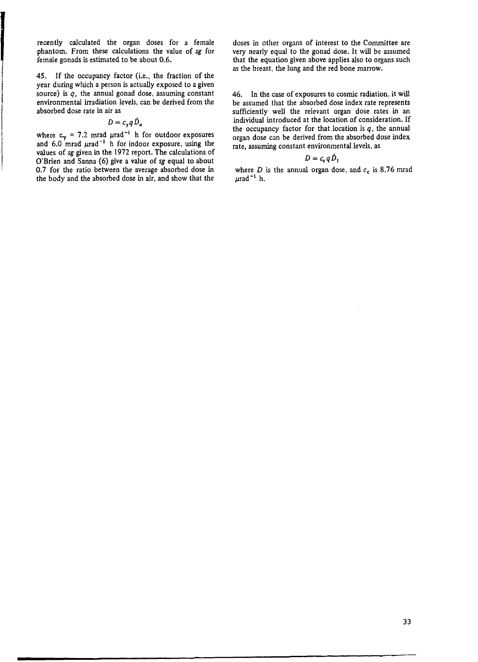recently calculated the organ doses for a female phantom. From these calculations the value of *sg* for female gonads is estimated to be about 0.6.

45. If the occupancy factor (i.e., the fraction of the year during which a person is actually exposed to a given source) is *q,* the annual gonad dose, assuming constant environmental irradiation levels, can be derived from the absorbed dose rate in air as

$$
D=c_{\gamma}qD_{a}
$$

where  $c_{\gamma} = 7.2$  mrad  $\mu$ rad<sup>-1</sup> h for outdoor exposures and 6.0 mrad  $\mu$ rad<sup>-1</sup> h for indoor exposure, using the values of *sg* given in the 1972 report. The calculations of O'Brien and Sanna (6) give a value of *sg* equal to about 0.7 for the ratio between the average absorbed dose in the body and the absorbed dose in air, and show that the

doses in other organs of interest to the Committee are very nearly equal to the gonad dose. It will be assumed that the equation given above applies also to organs such as the breast, the lung and the red bone marrow.

46. In the case of exposures to cosmic radiation, it will be assumed that the absorbed dose index rate represents sufficiently well the relevant organ dose rates in an individual introduced at the location of consideration. If the occupancy factor for that location is  $q$ , the annual organ dose can be derived from the absorbed dose index rate, assuming constant environmental levels, as

## $D = c_{\rm e} q D_1$

where  $D$  is the annual organ dose, and  $c_c$  is 8.76 mrad  $\mu$ rad<sup>-1</sup> h.